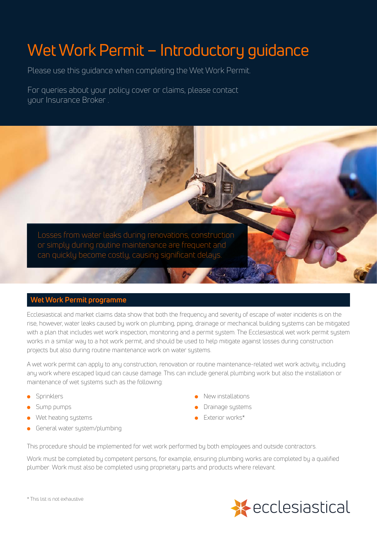# Wet Work Permit – Introductory guidance

Please use this guidance when completing the Wet Work Permit.

For queries about your policy cover or claims, please contact your Insurance Broker .

Losses from water leaks during renovations, construction or simply during routine maintenance are frequent and can quickly become costly, causing significant delays.

# **Wet Work Permit programme**

Ecclesiastical and market claims data show that both the frequency and severity of escape of water incidents is on the rise, however, water leaks caused by work on plumbing, piping, drainage or mechanical building systems can be mitigated with a plan that includes wet work inspection, monitoring and a permit system. The Ecclesiastical wet work permit system works in a similar way to a hot work permit, and should be used to help mitigate against losses during construction projects but also during routine maintenance work on water systems.

A wet work permit can apply to any construction, renovation or routine maintenance-related wet work activity, including any work where escaped liquid can cause damage. This can include general plumbing work but also the installation or maintenance of wet systems such as the following:

- **Sprinklers**
- Sump pumps
- Wet heating systems
- General water sustem/plumbing
- <sup>l</sup> New installations
- Drainage sustems
- <sup>l</sup> Exterior works\*

This procedure should be implemented for wet work performed by both employees and outside contractors.

Work must be completed by competent persons, for example, ensuring plumbing works are completed by a qualified plumber. Work must also be completed using proprietary parts and products where relevant.



\* This list is not exhaustive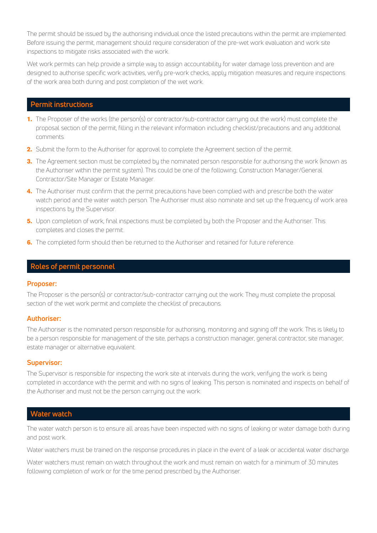The permit should be issued by the authorising individual once the listed precautions within the permit are implemented. Before issuing the permit, management should require consideration of the pre-wet work evaluation and work site inspections to mitigate risks associated with the work.

Wet work permits can help provide a simple way to assign accountability for water damage loss prevention and are designed to authorise specific work activities, verify pre-work checks, apply mitigation measures and require inspections of the work area both during and post completion of the wet work.

# **Permit instructions**

- **1.** The Proposer of the works (the person(s) or contractor/sub-contractor carrying out the work) must complete the proposal section of the permit, filling in the relevant information including checklist/precautions and any additional comments.
- **2.** Submit the form to the Authoriser for approval to complete the Agreement section of the permit.
- **3.** The Agreement section must be completed by the nominated person responsible for authorising the work (known as the Authoriser within the permit sustem). This could be one of the following; Construction Manager/General Contractor/Site Manager or Estate Manager.
- **4.** The Authoriser must confirm that the permit precautions have been complied with and prescribe both the water watch period and the water watch person. The Authoriser must also nominate and set up the frequency of work area inspections by the Supervisor.
- **5.** Upon completion of work, final inspections must be completed by both the Proposer and the Authoriser. This completes and closes the permit.
- **6.** The completed form should then be returned to the Authoriser and retained for future reference.

## **Roles of permit personnel**

#### **Proposer:**

The Proposer is the person(s) or contractor/sub-contractor carrying out the work. They must complete the proposal section of the wet work permit and complete the checklist of precautions.

#### **Authoriser:**

The Authoriser is the nominated person responsible for authorising, monitoring and signing off the work. This is likely to be a person responsible for management of the site, perhaps a construction manager, general contractor, site manager, estate manager or alternative equivalent.

#### **Supervisor:**

The Supervisor is responsible for inspecting the work site at intervals during the work, verifuing the work is being completed in accordance with the permit and with no signs of leaking. This person is nominated and inspects on behalf of the Authoriser and must not be the person carrying out the work.

#### **Water watch**

The water watch person is to ensure all areas have been inspected with no signs of leaking or water damage both during and post work.

Water watchers must be trained on the response procedures in place in the event of a leak or accidental water discharge.

Water watchers must remain on watch throughout the work and must remain on watch for a minimum of 30 minutes following completion of work or for the time period prescribed by the Authoriser.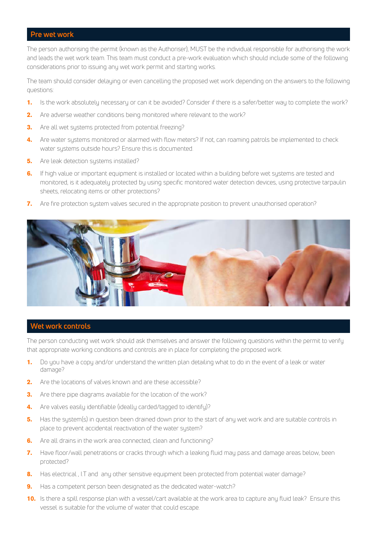## **Pre wet work**

The person authorising the permit (known as the Authoriser), MUST be the individual responsible for authorising the work and leads the wet work team. This team must conduct a pre-work evaluation which should include some of the following considerations prior to issuing any wet work permit and starting works.

The team should consider delaying or even cancelling the proposed wet work depending on the answers to the following questions:

- **1.** Is the work absolutely necessary or can it be avoided? Consider if there is a safer/better way to complete the work?
- **2.** Are adverse weather conditions being monitored where relevant to the work?
- **3.** Are all wet systems protected from potential freezing?
- **4.** Are water systems monitored or alarmed with flow meters? If not, can roaming patrols be implemented to check water systems outside hours? Ensure this is documented.
- **5.** Are leak detection systems installed?
- **6.** If high value or important equipment is installed or located within a building before wet systems are tested and monitored, is it adequately protected by using specific monitored water detection devices, using protective tarpaulin sheets, relocating items or other protections?
- **7.** Are fire protection system valves secured in the appropriate position to prevent unauthorised operation?



## **Wet work controls**

The person conducting wet work should ask themselves and answer the following questions within the permit to verify that appropriate working conditions and controls are in place for completing the proposed work.

- **1.** Do you have a copy and/or understand the written plan detailing what to do in the event of a leak or water damage?
- **2.** Are the locations of valves known and are these accessible?
- **3.** Are there pipe diagrams available for the location of the work?
- **4.** Are valves easily identifiable (ideally carded/tagged to identify)?
- **5.** Has the system(s) in question been drained down prior to the start of any wet work and are suitable controls in place to prevent accidental reactivation of the water system?
- **6.** Are all drains in the work area connected, clean and functioning?
- **7.** Have floor/wall penetrations or cracks through which a leaking fluid may pass and damage areas below, been protected?
- **8.** Has electrical , I.T and any other sensitive equipment been protected from potential water damage?
- **9.** Has a competent person been designated as the dedicated water-watch?
- **10.** Is there a spill response plan with a vessel/cart available at the work area to capture any fluid leak? Ensure this vessel is suitable for the volume of water that could escape.